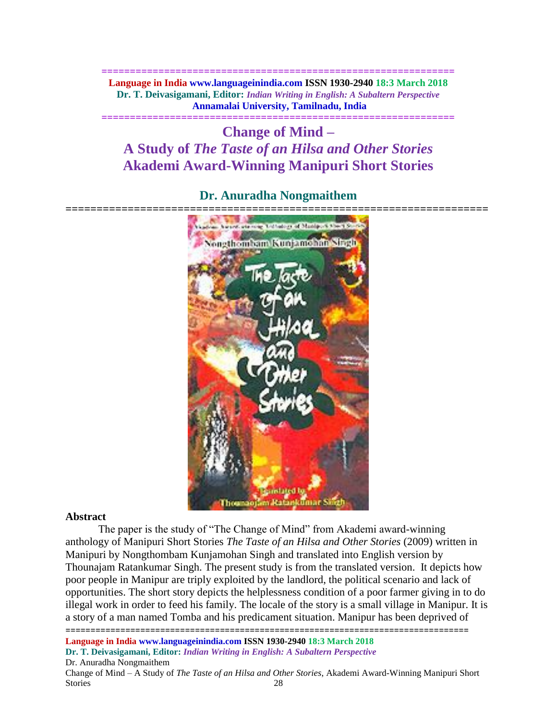**============================================================== Language in India www.languageinindia.com ISSN 1930-2940 18:3 March 2018 Dr. T. Deivasigamani, Editor:** *Indian Writing in English: A Subaltern Perspective* **Annamalai University, Tamilnadu, India**

**==============================================================**

# **Change of Mind – A Study of** *The Taste of an Hilsa and Other Stories* **Akademi Award-Winning Manipuri Short Stories**

# **Dr. Anuradha Nongmaithem**



#### **Abstract**

The paper is the study of "The Change of Mind" from Akademi award-winning anthology of Manipuri Short Stories *The Taste of an Hilsa and Other Stories* (2009) written in Manipuri by Nongthombam Kunjamohan Singh and translated into English version by Thounajam Ratankumar Singh. The present study is from the translated version. It depicts how poor people in Manipur are triply exploited by the landlord, the political scenario and lack of opportunities. The short story depicts the helplessness condition of a poor farmer giving in to do illegal work in order to feed his family. The locale of the story is a small village in Manipur. It is a story of a man named Tomba and his predicament situation. Manipur has been deprived of

================================================================================= **Language in India www.languageinindia.com ISSN 1930-2940 18:3 March 2018 Dr. T. Deivasigamani, Editor:** *Indian Writing in English: A Subaltern Perspective*

Dr. Anuradha Nongmaithem

Change of Mind – A Study of *The Taste of an Hilsa and Other Stories*, Akademi Award-Winning Manipuri Short Stories 28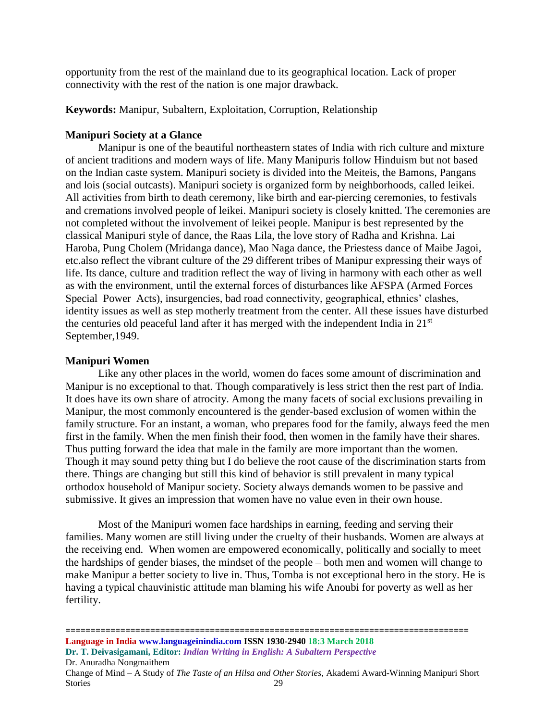opportunity from the rest of the mainland due to its geographical location. Lack of proper connectivity with the rest of the nation is one major drawback.

**Keywords:** Manipur, Subaltern, Exploitation, Corruption, Relationship

# **Manipuri Society at a Glance**

Manipur is one of the beautiful northeastern states of India with rich culture and mixture of ancient traditions and modern ways of life. Many Manipuris follow Hinduism but not based on the Indian caste system. Manipuri society is divided into the Meiteis, the Bamons, Pangans and lois (social outcasts). Manipuri society is organized form by neighborhoods, called leikei. All activities from birth to death ceremony, like birth and ear-piercing ceremonies, to festivals and cremations involved people of leikei. Manipuri society is closely knitted. The ceremonies are not completed without the involvement of leikei people. Manipur is best represented by the classical Manipuri style of dance, the Raas Lila, the love story of Radha and Krishna. Lai Haroba, Pung Cholem (Mridanga dance), Mao Naga dance, the Priestess dance of Maibe Jagoi, etc.also reflect the vibrant culture of the 29 different tribes of Manipur expressing their ways of life. Its dance, culture and tradition reflect the way of living in harmony with each other as well as with the environment, until the external forces of disturbances like AFSPA (Armed Forces Special Power Acts), insurgencies, bad road connectivity, geographical, ethnics' clashes, identity issues as well as step motherly treatment from the center. All these issues have disturbed the centuries old peaceful land after it has merged with the independent India in 21st September,1949.

#### **Manipuri Women**

Like any other places in the world, women do faces some amount of discrimination and Manipur is no exceptional to that. Though comparatively is less strict then the rest part of India. It does have its own share of atrocity. Among the many facets of social exclusions prevailing in Manipur, the most commonly encountered is the gender-based exclusion of women within the family structure. For an instant, a woman, who prepares food for the family, always feed the men first in the family. When the men finish their food, then women in the family have their shares. Thus putting forward the idea that male in the family are more important than the women. Though it may sound petty thing but I do believe the root cause of the discrimination starts from there. Things are changing but still this kind of behavior is still prevalent in many typical orthodox household of Manipur society. Society always demands women to be passive and submissive. It gives an impression that women have no value even in their own house.

Most of the Manipuri women face hardships in earning, feeding and serving their families. Many women are still living under the cruelty of their husbands. Women are always at the receiving end. When women are empowered economically, politically and socially to meet the hardships of gender biases, the mindset of the people – both men and women will change to make Manipur a better society to live in. Thus, Tomba is not exceptional hero in the story. He is having a typical chauvinistic attitude man blaming his wife Anoubi for poverty as well as her fertility.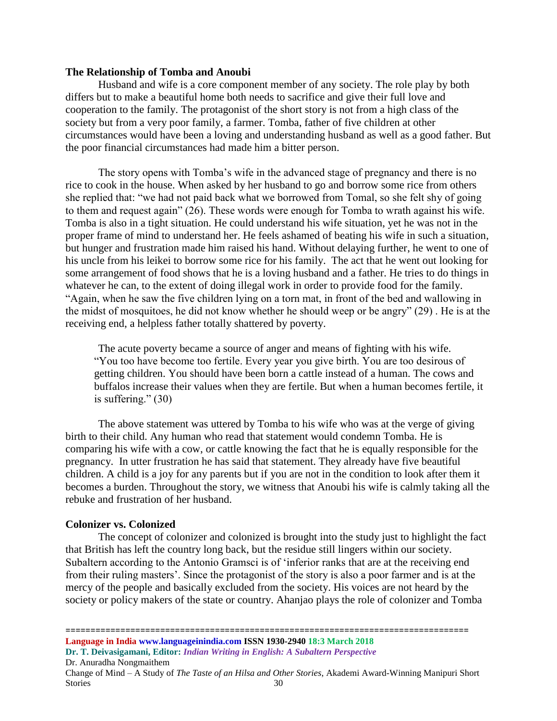# **The Relationship of Tomba and Anoubi**

Husband and wife is a core component member of any society. The role play by both differs but to make a beautiful home both needs to sacrifice and give their full love and cooperation to the family. The protagonist of the short story is not from a high class of the society but from a very poor family, a farmer. Tomba, father of five children at other circumstances would have been a loving and understanding husband as well as a good father. But the poor financial circumstances had made him a bitter person.

The story opens with Tomba's wife in the advanced stage of pregnancy and there is no rice to cook in the house. When asked by her husband to go and borrow some rice from others she replied that: "we had not paid back what we borrowed from Tomal, so she felt shy of going to them and request again" (26). These words were enough for Tomba to wrath against his wife. Tomba is also in a tight situation. He could understand his wife situation, yet he was not in the proper frame of mind to understand her. He feels ashamed of beating his wife in such a situation, but hunger and frustration made him raised his hand. Without delaying further, he went to one of his uncle from his leikei to borrow some rice for his family. The act that he went out looking for some arrangement of food shows that he is a loving husband and a father. He tries to do things in whatever he can, to the extent of doing illegal work in order to provide food for the family. "Again, when he saw the five children lying on a torn mat, in front of the bed and wallowing in the midst of mosquitoes, he did not know whether he should weep or be angry" (29) . He is at the receiving end, a helpless father totally shattered by poverty.

The acute poverty became a source of anger and means of fighting with his wife. "You too have become too fertile. Every year you give birth. You are too desirous of getting children. You should have been born a cattle instead of a human. The cows and buffalos increase their values when they are fertile. But when a human becomes fertile, it is suffering." (30)

The above statement was uttered by Tomba to his wife who was at the verge of giving birth to their child. Any human who read that statement would condemn Tomba. He is comparing his wife with a cow, or cattle knowing the fact that he is equally responsible for the pregnancy. In utter frustration he has said that statement. They already have five beautiful children. A child is a joy for any parents but if you are not in the condition to look after them it becomes a burden. Throughout the story, we witness that Anoubi his wife is calmly taking all the rebuke and frustration of her husband.

#### **Colonizer vs. Colonized**

The concept of colonizer and colonized is brought into the study just to highlight the fact that British has left the country long back, but the residue still lingers within our society. Subaltern according to the Antonio Gramsci is of 'inferior ranks that are at the receiving end from their ruling masters'. Since the protagonist of the story is also a poor farmer and is at the mercy of the people and basically excluded from the society. His voices are not heard by the society or policy makers of the state or country. Ahanjao plays the role of colonizer and Tomba

================================================================================= **Language in India www.languageinindia.com ISSN 1930-2940 18:3 March 2018 Dr. T. Deivasigamani, Editor:** *Indian Writing in English: A Subaltern Perspective* Dr. Anuradha Nongmaithem Change of Mind – A Study of *The Taste of an Hilsa and Other Stories*, Akademi Award-Winning Manipuri Short Stories 30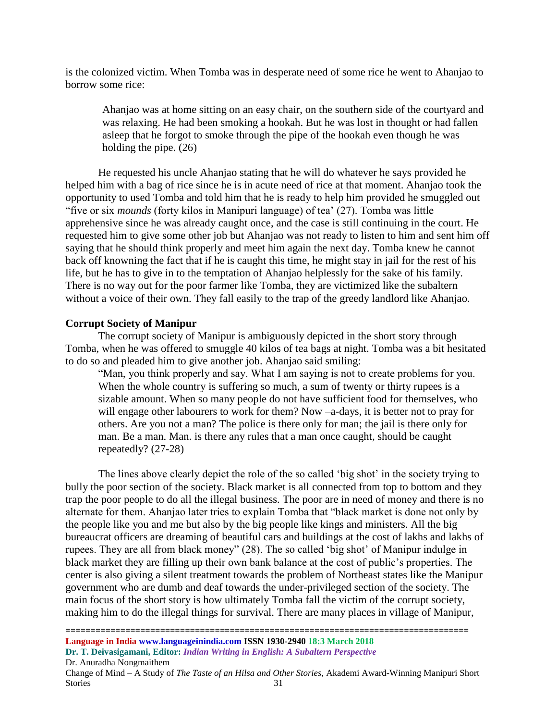is the colonized victim. When Tomba was in desperate need of some rice he went to Ahanjao to borrow some rice:

Ahanjao was at home sitting on an easy chair, on the southern side of the courtyard and was relaxing. He had been smoking a hookah. But he was lost in thought or had fallen asleep that he forgot to smoke through the pipe of the hookah even though he was holding the pipe. (26)

He requested his uncle Ahanjao stating that he will do whatever he says provided he helped him with a bag of rice since he is in acute need of rice at that moment. Ahanjao took the opportunity to used Tomba and told him that he is ready to help him provided he smuggled out "five or six *mounds* (forty kilos in Manipuri language) of tea' (27). Tomba was little apprehensive since he was already caught once, and the case is still continuing in the court. He requested him to give some other job but Ahanjao was not ready to listen to him and sent him off saying that he should think properly and meet him again the next day. Tomba knew he cannot back off knowning the fact that if he is caught this time, he might stay in jail for the rest of his life, but he has to give in to the temptation of Ahanjao helplessly for the sake of his family. There is no way out for the poor farmer like Tomba, they are victimized like the subaltern without a voice of their own. They fall easily to the trap of the greedy landlord like Ahanjao.

#### **Corrupt Society of Manipur**

The corrupt society of Manipur is ambiguously depicted in the short story through Tomba, when he was offered to smuggle 40 kilos of tea bags at night. Tomba was a bit hesitated to do so and pleaded him to give another job. Ahanjao said smiling:

"Man, you think properly and say. What I am saying is not to create problems for you. When the whole country is suffering so much, a sum of twenty or thirty rupees is a sizable amount. When so many people do not have sufficient food for themselves, who will engage other labourers to work for them? Now –a-days, it is better not to pray for others. Are you not a man? The police is there only for man; the jail is there only for man. Be a man. Man. is there any rules that a man once caught, should be caught repeatedly? (27-28)

The lines above clearly depict the role of the so called 'big shot' in the society trying to bully the poor section of the society. Black market is all connected from top to bottom and they trap the poor people to do all the illegal business. The poor are in need of money and there is no alternate for them. Ahanjao later tries to explain Tomba that "black market is done not only by the people like you and me but also by the big people like kings and ministers. All the big bureaucrat officers are dreaming of beautiful cars and buildings at the cost of lakhs and lakhs of rupees. They are all from black money" (28). The so called 'big shot' of Manipur indulge in black market they are filling up their own bank balance at the cost of public's properties. The center is also giving a silent treatment towards the problem of Northeast states like the Manipur government who are dumb and deaf towards the under-privileged section of the society. The main focus of the short story is how ultimately Tomba fall the victim of the corrupt society, making him to do the illegal things for survival. There are many places in village of Manipur,

**Language in India www.languageinindia.com ISSN 1930-2940 18:3 March 2018 Dr. T. Deivasigamani, Editor:** *Indian Writing in English: A Subaltern Perspective* Dr. Anuradha Nongmaithem Change of Mind – A Study of *The Taste of an Hilsa and Other Stories*, Akademi Award-Winning Manipuri Short Stories 31

=================================================================================